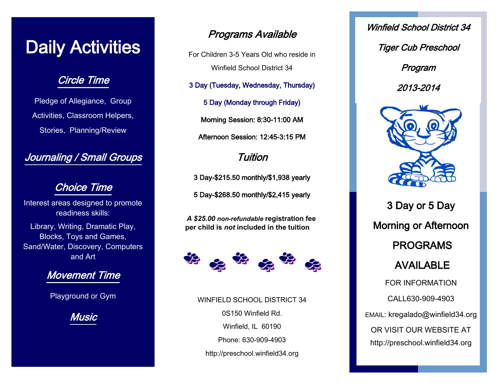## Daily Activities

#### Circle Time

Pledge of Allegiance, Group Activities, Classroom Helpers, Stories, Planning/Review

#### Journaling / Small Groups

#### Choice Time

Interest areas designed to promote readiness skills:

Library, Writing, Dramatic Play, Blocks, Toys and Games, Sand/Water, Discovery, Computers and Art

#### Movement Time

Playground or Gym

Music

#### Programs Available

For Children 3-5 Years Old who reside in Winfield School District 34

3 Day (Tuesday, Wednesday, Thursday)

5 Day (Monday through Friday)

Morning Session: 8:30-11:00 AM Afternoon Session: 12:45-3:15 PM

#### Tuition

3 Day-\$215.50 monthly/\$1,938 yearly

5 Day-\$268.50 monthly/\$2,415 yearly

*A \$25.00 non-refundable* **registration fee per child is** *not* **included in the tuition**



WINFIELD SCHOOL DISTRICT 34 0S150 Winfield Rd. Winfield, IL 60190 Phone: 630-909-4903 http://preschool.winfield34.org

Winfield School District 34 Tiger Cub Preschool Program 2013-2014



3 Day or 5 Day Morning or Afternoon PROGRAMS AVAILABLE FOR INFORMATION CALL630-909-4903 EMAIL: kregalado@winfield34.org OR VISIT OUR WEBSITE AT http://preschool.winfield34.org